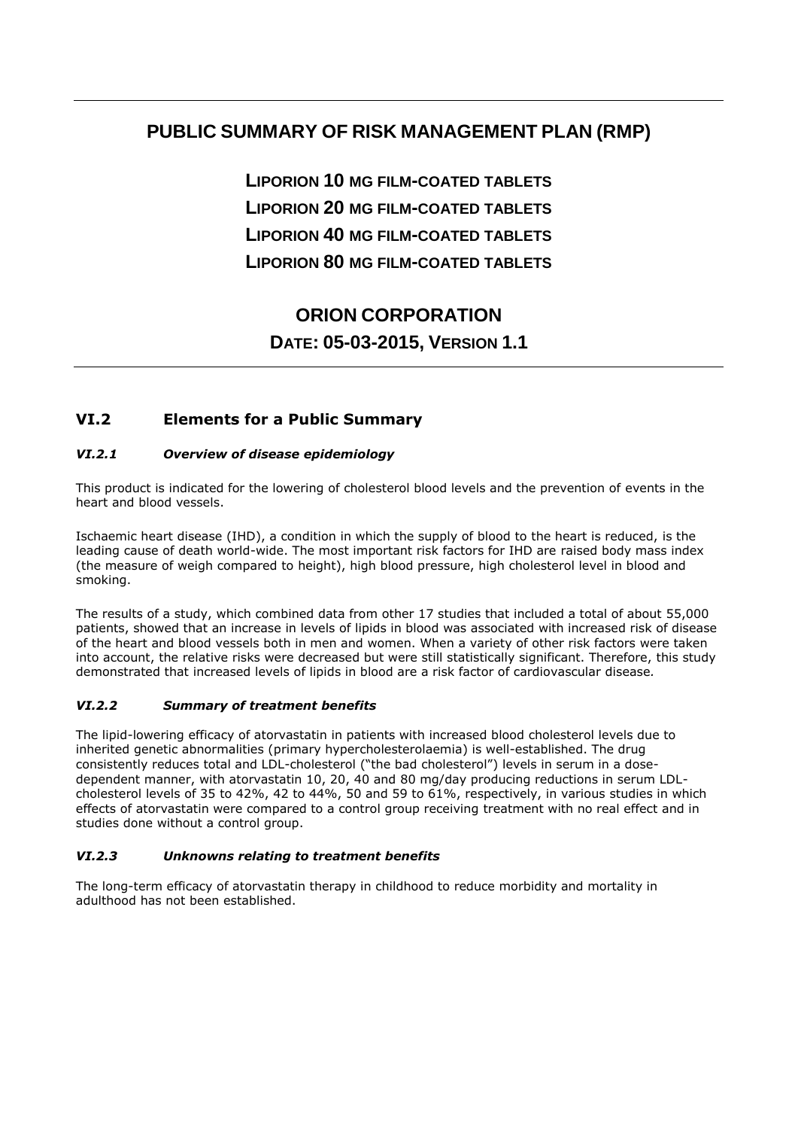## **PUBLIC SUMMARY OF RISK MANAGEMENT PLAN (RMP)**

**LIPORION 10 MG FILM-COATED TABLETS LIPORION 20 MG FILM-COATED TABLETS LIPORION 40 MG FILM-COATED TABLETS LIPORION 80 MG FILM-COATED TABLETS**

# **ORION CORPORATION DATE: 05-03-2015, VERSION 1.1**

### **VI.2 Elements for a Public Summary**

### *VI.2.1 Overview of disease epidemiology*

This product is indicated for the lowering of cholesterol blood levels and the prevention of events in the heart and blood vessels.

Ischaemic heart disease (IHD), a condition in which the supply of blood to the heart is reduced, is the leading cause of death world-wide. The most important risk factors for IHD are raised body mass index (the measure of weigh compared to height), high blood pressure, high cholesterol level in blood and smoking.

The results of a study, which combined data from other 17 studies that included a total of about 55,000 patients, showed that an increase in levels of lipids in blood was associated with increased risk of disease of the heart and blood vessels both in men and women. When a variety of other risk factors were taken into account, the relative risks were decreased but were still statistically significant. Therefore, this study demonstrated that increased levels of lipids in blood are a risk factor of cardiovascular disease*.*

### *VI.2.2 Summary of treatment benefits*

The lipid-lowering efficacy of atorvastatin in patients with increased blood cholesterol levels due to inherited genetic abnormalities (primary hypercholesterolaemia) is well-established. The drug consistently reduces total and LDL-cholesterol ("the bad cholesterol") levels in serum in a dosedependent manner, with atorvastatin 10, 20, 40 and 80 mg/day producing reductions in serum LDLcholesterol levels of 35 to 42%, 42 to 44%, 50 and 59 to 61%, respectively, in various studies in which effects of atorvastatin were compared to a control group receiving treatment with no real effect and in studies done without a control group.

### *VI.2.3 Unknowns relating to treatment benefits*

The long-term efficacy of atorvastatin therapy in childhood to reduce morbidity and mortality in adulthood has not been established.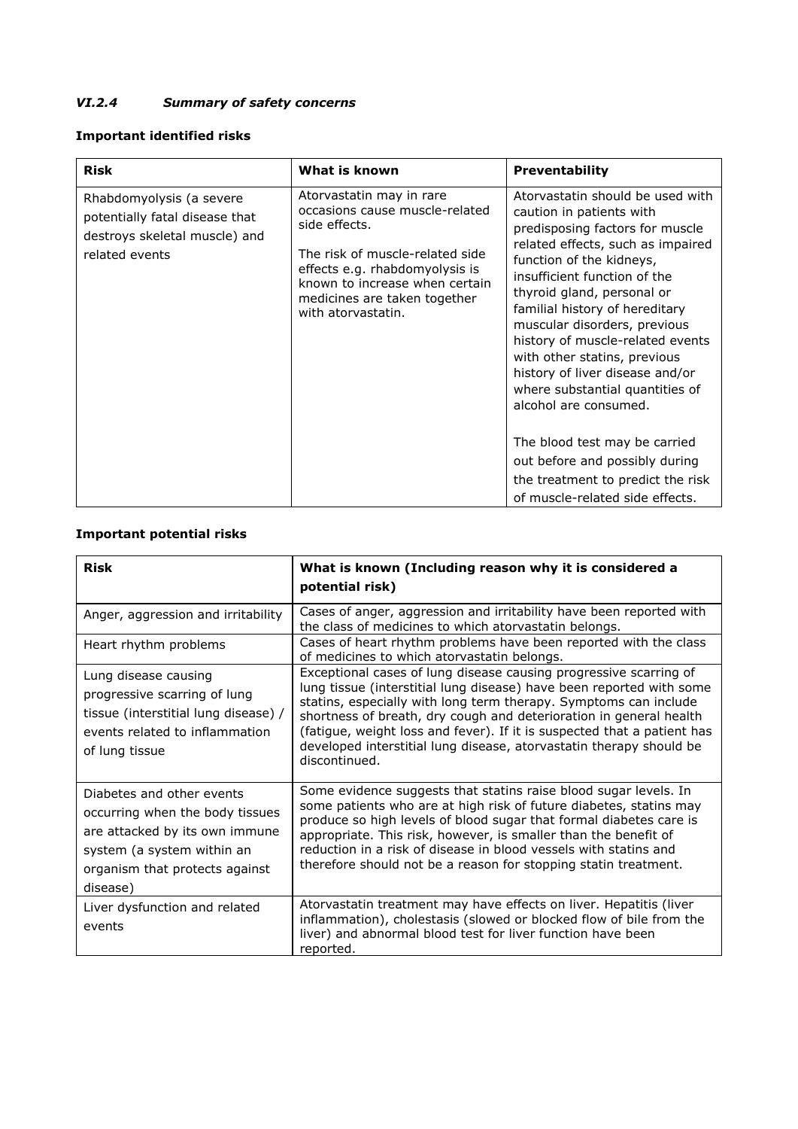### *VI.2.4 Summary of safety concerns*

### **Important identified risks**

| <b>Risk</b>                                                                                                   | What is known                                                                                                                                                                                                                            | <b>Preventability</b>                                                                                                                                                                                                                                                                                                                                                                                                                                               |
|---------------------------------------------------------------------------------------------------------------|------------------------------------------------------------------------------------------------------------------------------------------------------------------------------------------------------------------------------------------|---------------------------------------------------------------------------------------------------------------------------------------------------------------------------------------------------------------------------------------------------------------------------------------------------------------------------------------------------------------------------------------------------------------------------------------------------------------------|
| Rhabdomyolysis (a severe<br>potentially fatal disease that<br>destroys skeletal muscle) and<br>related events | Atorvastatin may in rare<br>occasions cause muscle-related<br>side effects.<br>The risk of muscle-related side<br>effects e.g. rhabdomyolysis is<br>known to increase when certain<br>medicines are taken together<br>with atorvastatin. | Atorvastatin should be used with<br>caution in patients with<br>predisposing factors for muscle<br>related effects, such as impaired<br>function of the kidneys,<br>insufficient function of the<br>thyroid gland, personal or<br>familial history of hereditary<br>muscular disorders, previous<br>history of muscle-related events<br>with other statins, previous<br>history of liver disease and/or<br>where substantial quantities of<br>alcohol are consumed. |
|                                                                                                               |                                                                                                                                                                                                                                          | The blood test may be carried<br>out before and possibly during<br>the treatment to predict the risk<br>of muscle-related side effects.                                                                                                                                                                                                                                                                                                                             |

### **Important potential risks**

| <b>Risk</b>                                                                                                                                                                | What is known (Including reason why it is considered a<br>potential risk)                                                                                                                                                                                                                                                                                                                                                                              |
|----------------------------------------------------------------------------------------------------------------------------------------------------------------------------|--------------------------------------------------------------------------------------------------------------------------------------------------------------------------------------------------------------------------------------------------------------------------------------------------------------------------------------------------------------------------------------------------------------------------------------------------------|
| Anger, aggression and irritability                                                                                                                                         | Cases of anger, aggression and irritability have been reported with<br>the class of medicines to which atorvastatin belongs.                                                                                                                                                                                                                                                                                                                           |
| Heart rhythm problems                                                                                                                                                      | Cases of heart rhythm problems have been reported with the class<br>of medicines to which atorvastatin belongs.                                                                                                                                                                                                                                                                                                                                        |
| Lung disease causing<br>progressive scarring of lung<br>tissue (interstitial lung disease) /<br>events related to inflammation<br>of lung tissue                           | Exceptional cases of lung disease causing progressive scarring of<br>lung tissue (interstitial lung disease) have been reported with some<br>statins, especially with long term therapy. Symptoms can include<br>shortness of breath, dry cough and deterioration in general health<br>(fatigue, weight loss and fever). If it is suspected that a patient has<br>developed interstitial lung disease, atorvastatin therapy should be<br>discontinued. |
| Diabetes and other events<br>occurring when the body tissues<br>are attacked by its own immune<br>system (a system within an<br>organism that protects against<br>disease) | Some evidence suggests that statins raise blood sugar levels. In<br>some patients who are at high risk of future diabetes, statins may<br>produce so high levels of blood sugar that formal diabetes care is<br>appropriate. This risk, however, is smaller than the benefit of<br>reduction in a risk of disease in blood vessels with statins and<br>therefore should not be a reason for stopping statin treatment.                                 |
| Liver dysfunction and related<br>events                                                                                                                                    | Atorvastatin treatment may have effects on liver. Hepatitis (liver<br>inflammation), cholestasis (slowed or blocked flow of bile from the<br>liver) and abnormal blood test for liver function have been<br>reported.                                                                                                                                                                                                                                  |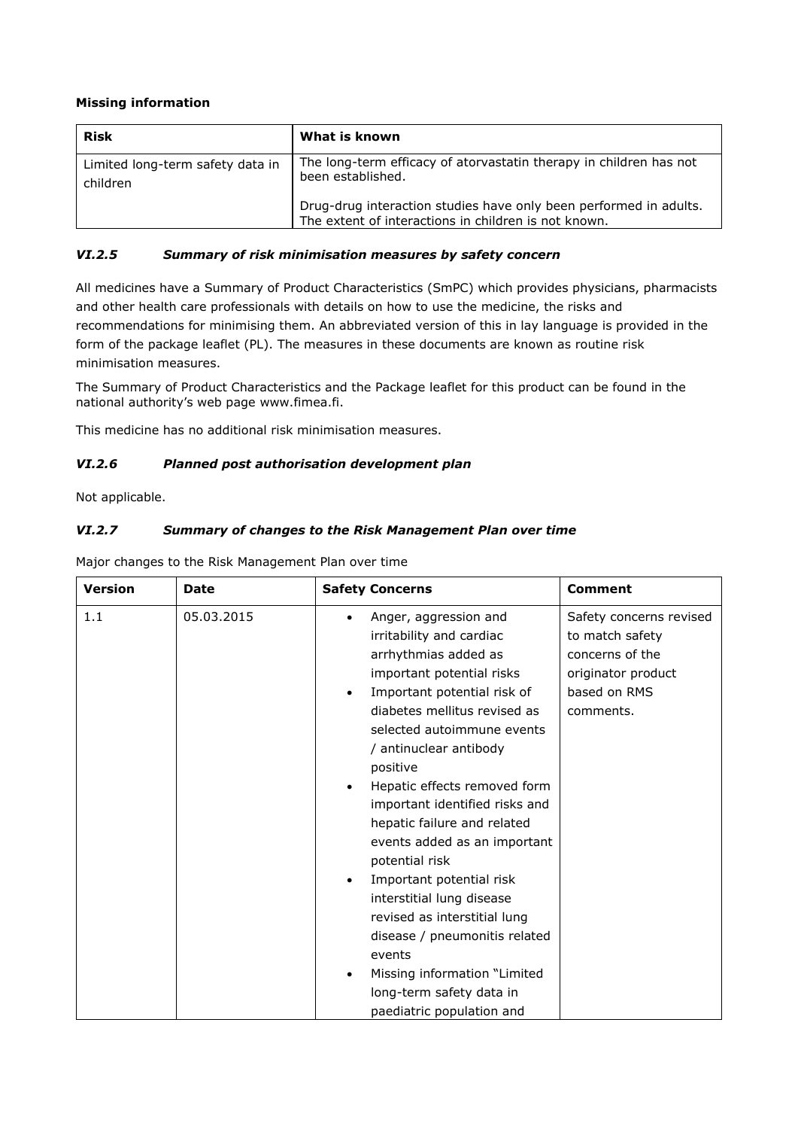### **Missing information**

| <b>Risk</b>                                  | What is known                                                                                                             |
|----------------------------------------------|---------------------------------------------------------------------------------------------------------------------------|
| Limited long-term safety data in<br>children | The long-term efficacy of atorvastatin therapy in children has not<br>been established.                                   |
|                                              | Drug-drug interaction studies have only been performed in adults.<br>The extent of interactions in children is not known. |

### *VI.2.5 Summary of risk minimisation measures by safety concern*

All medicines have a Summary of Product Characteristics (SmPC) which provides physicians, pharmacists and other health care professionals with details on how to use the medicine, the risks and recommendations for minimising them. An abbreviated version of this in lay language is provided in the form of the package leaflet (PL). The measures in these documents are known as routine risk minimisation measures.

The Summary of Product Characteristics and the Package leaflet for this product can be found in the national authority's web page www.fimea.fi.

This medicine has no additional risk minimisation measures.

### *VI.2.6 Planned post authorisation development plan*

Not applicable.

### *VI.2.7 Summary of changes to the Risk Management Plan over time*

Major changes to the Risk Management Plan over time

| <b>Version</b> | Date       | <b>Safety Concerns</b>                                                                                                                                                                                                                                                                                                                                                                                                                                                                                                                                                                                                                                                        | <b>Comment</b>                                                                                                   |
|----------------|------------|-------------------------------------------------------------------------------------------------------------------------------------------------------------------------------------------------------------------------------------------------------------------------------------------------------------------------------------------------------------------------------------------------------------------------------------------------------------------------------------------------------------------------------------------------------------------------------------------------------------------------------------------------------------------------------|------------------------------------------------------------------------------------------------------------------|
| 1.1            | 05.03.2015 | Anger, aggression and<br>$\bullet$<br>irritability and cardiac<br>arrhythmias added as<br>important potential risks<br>Important potential risk of<br>$\bullet$<br>diabetes mellitus revised as<br>selected autoimmune events<br>/ antinuclear antibody<br>positive<br>Hepatic effects removed form<br>$\bullet$<br>important identified risks and<br>hepatic failure and related<br>events added as an important<br>potential risk<br>Important potential risk<br>$\bullet$<br>interstitial lung disease<br>revised as interstitial lung<br>disease / pneumonitis related<br>events<br>Missing information "Limited<br>long-term safety data in<br>paediatric population and | Safety concerns revised<br>to match safety<br>concerns of the<br>originator product<br>based on RMS<br>comments. |